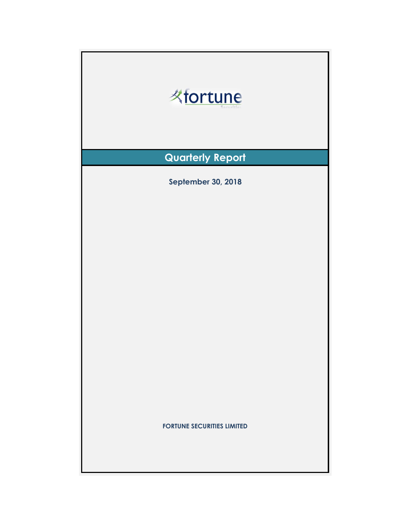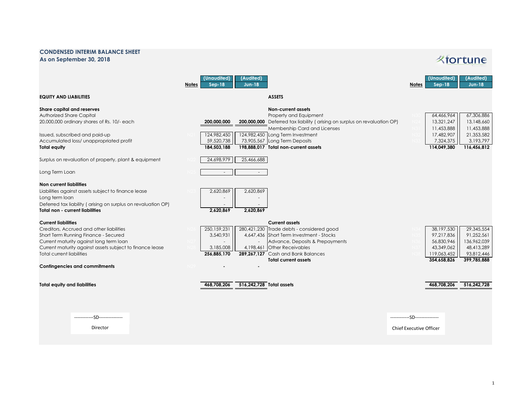## **CONDENSED INTERIM BALANCE SHEET As on September 30, 2018**

## **Kfortune**

|                                                                                                                                                                                                                                                           | (Unaudited)<br>(Audited)<br><b>Notes</b><br>$Sep-18$<br><b>Jun-18</b>                                                                                                                                                                                                                                                                       | (Unaudited)<br>(Audited)<br><b>Jun-18</b><br>Notes<br>$Sep-18$                                                                                                           |
|-----------------------------------------------------------------------------------------------------------------------------------------------------------------------------------------------------------------------------------------------------------|---------------------------------------------------------------------------------------------------------------------------------------------------------------------------------------------------------------------------------------------------------------------------------------------------------------------------------------------|--------------------------------------------------------------------------------------------------------------------------------------------------------------------------|
| <b>EQUITY AND LIABILITIES</b>                                                                                                                                                                                                                             | <b>ASSETS</b>                                                                                                                                                                                                                                                                                                                               |                                                                                                                                                                          |
| Share capital and reserves<br>Authorized Share Capital<br>20,000,000 ordinary shares of Rs. 10/- each<br>Issued, subscribed and paid-up<br>Accumulated loss/ unappropriated profit<br><b>Total equity</b>                                                 | <b>Non-current assets</b><br>Property and Equipment<br>200,000,000 Deferred tax liability (arising on surplus on revaluation OP)<br>200.000.000<br>Membership Card and Licenses<br>124,982,450 Long Term Investment<br>124,982,450<br>59,520,738<br>73,905,567<br>Long Term Deposits<br>184,503,188<br>198,888,017 Total non-current assets | 67,306,886<br>64,466,964<br>13,321,247<br>13,148,660<br>11,453,888<br>11,453,888<br>21,353,582<br>17,482,907<br>3,193,797<br>7,324,375<br>114,049,380<br>116,456,812     |
| Surplus on revaluation of property, plant & equipment                                                                                                                                                                                                     | 24,698,979<br>25,466,688                                                                                                                                                                                                                                                                                                                    |                                                                                                                                                                          |
| Long Term Loan                                                                                                                                                                                                                                            | $\sim$                                                                                                                                                                                                                                                                                                                                      |                                                                                                                                                                          |
| <b>Non current liabilities</b><br>Liabilities against assets subject to finance lease<br>Long term loan<br>Deferred tax liability (arising on surplus on revaluation OP)<br><b>Total non - current liabilities</b>                                        | 2,620,869<br>2,620,869<br>2,620,869<br>2,620,869                                                                                                                                                                                                                                                                                            |                                                                                                                                                                          |
| <b>Current liabilities</b><br>Creditors, Accrued and other liabilities<br>Short Term Running Finance - Secured<br>Current maturity against long term loan<br>Current maturity against assets subject to finance lease<br><b>Total current liabilities</b> | <b>Current assets</b><br>280,421,230 Trade debts - considered good<br>250, 159, 231<br>4,647,436 Short Term Investment - Stocks<br>3,540,931<br>Advance, Deposits & Prepayments<br>3,185,008<br>4,198,461<br><b>Other Receivables</b><br>256,885,170<br>289,267,127 Cash and Bank Balances<br><b>Total current assets</b>                   | 29,345,554<br>38,197,530<br>97,217,836<br>91,252,561<br>136,962,039<br>56,830,946<br>48,413,289<br>43,349,062<br>93,812,446<br>119,063,452<br>354,658,826<br>399,785,888 |
| <b>Contingencies and commitments</b>                                                                                                                                                                                                                      |                                                                                                                                                                                                                                                                                                                                             |                                                                                                                                                                          |
| <b>Total equity and liabilities</b>                                                                                                                                                                                                                       | 468,708,206<br>516,242,728 Total assets                                                                                                                                                                                                                                                                                                     | 468,708,206<br>516,242,728                                                                                                                                               |
| -SD-----------<br>Director                                                                                                                                                                                                                                |                                                                                                                                                                                                                                                                                                                                             | ------------SD---------------<br><b>Chief Executive Officer</b>                                                                                                          |